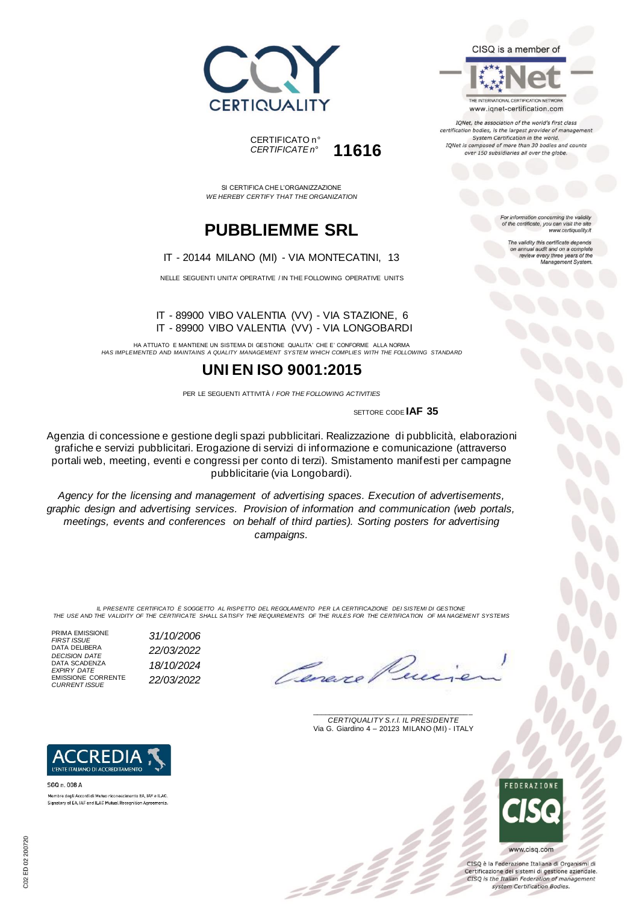



SI CERTIFICA CHE L'ORGANIZZAZIONE *WE HEREBY CERTIFY THAT THE ORGANIZATION*

## **PUBBLIEMME SRL**

### IT - 20144 MILANO (MI) - VIA MONTECATINI, 13

NELLE SEGUENTI UNITA' OPERATIVE / IN THE FOLLOWING OPERATIVE UNITS

#### IT - 89900 VIBO VALENTIA (VV) - VIA STAZIONE, 6 IT - 89900 VIBO VALENTIA (VV) - VIA LONGOBARDI

HA ATTUATO E MANTIENE UN SISTEMA DI GESTIONE QUALITA' CHE E' CONFORME ALLA NORMA *HAS IMPLEMENTED AND MAINTAINS A QUALITY MANAGEMENT SYSTEM WHICH COMPLIES WITH THE FOLLOWING STANDARD*

## **UNI EN ISO 9001:2015**

PER LE SEGUENTI ATTIVITÀ / *FOR THE FOLLOWING ACTIVITIES*

SETTORE CODE **IAF 35**

Agenzia di concessione e gestione degli spazi pubblicitari. Realizzazione di pubblicità, elaborazioni grafiche e servizi pubblicitari. Erogazione di servizi di informazione e comunicazione (attraverso portali web, meeting, eventi e congressi per conto di terzi). Smistamento manifesti per campagne pubblicitarie (via Longobardi).

*Agency for the licensing and management of advertising spaces. Execution of advertisements, graphic design and advertising services. Provision of information and communication (web portals, meetings, events and conferences on behalf of third parties). Sorting posters for advertising campaigns.*

*IL PRESENTE CERTIFICATO È SOGGETTO AL RISPETTO DEL REGOLAMENTO PER LA CERTIFICAZIONE DEI SISTEMI DI GESTIONE THE USE AND THE VALIDITY OF THE CERTIFICATE SHALL SATISFY THE REQUIREMENTS OF THE RULES FOR THE CERTIFICATION OF MA NAGEMENT SYSTEMS*

PRIMA EMISSIONE<br>FIRST ISSUE DATA DELIBERA DATA SCADENZA *EXPIRY DATE 18/10/2024* EMISSIONE CORRENTE *CURRENT ISSUE 22/03/2022*

*FIRST ISSUE 31/10/2006 DECISION DATE 22/03/2022*

\_\_\_\_\_\_\_\_\_\_\_\_\_\_\_\_\_\_\_\_\_\_\_\_\_\_\_\_\_\_\_\_\_\_\_\_\_\_\_ *CERTIQUALITY S.r.l. IL PRESIDENTE* Via G. Giardino 4 – 20123 MILANO (MI) - ITALY



CISQ è la Federazione Italiana di Organismi di Certificazione dei sistemi di gestione aziendale. CISQ is the Italian Federation of management system Certification Bodies.





SGQ n. 008 A Membro degli Accordi di Mutuo riconoscimento EA, IAF e ILAO Signatory of EA, IAF and ILAC Mutual Recognition Agreements For information concerning the validity<br>of the certificate, you can visit the site www.certiquality.it

CISQ is a member of

THE INTERNATIONAL CERTIFICATION NETWORK

www.iqnet-certification.com IQNet, the association of the world's first class certification bodies, is the largest provider of management System Certification in the world. IQNet is composed of more than 30 bodies and counts over 150 subsidiaries all over the globe.

> The validity this certificate depends on annual audit and on a complete<br>review every three years of the<br>Management System.